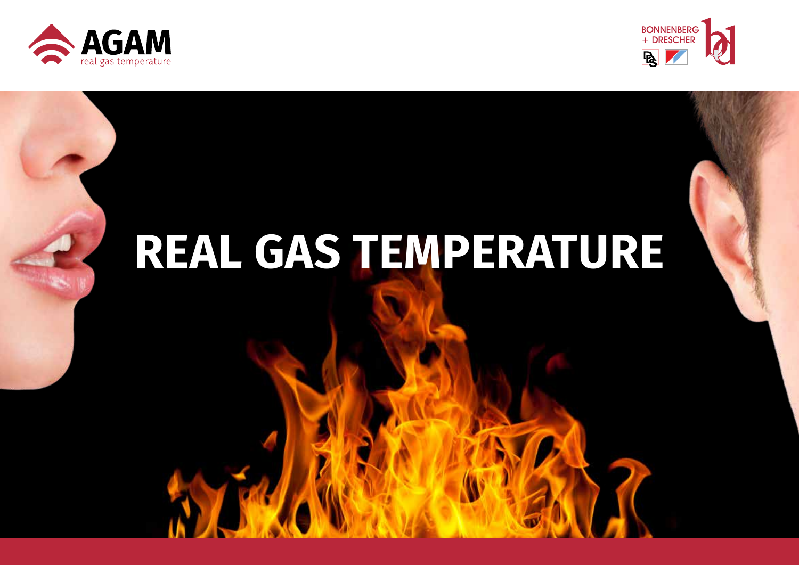



# **REAL GAS TEMPERATURE**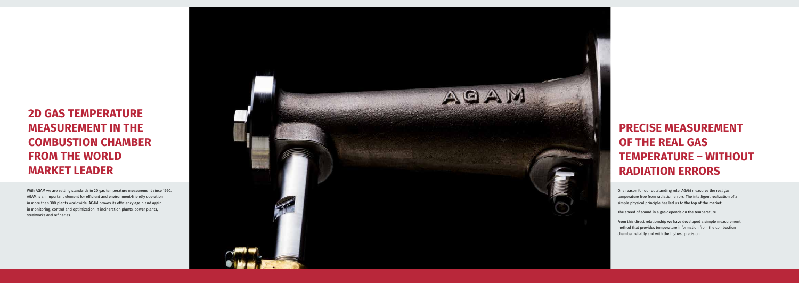## **2D GAS TEMPERATURE MEASUREMENT IN THE COMBUSTION CHAMBER FROM THE WORLD MARKET LEADER**

## **PRECISE MEASUREMENT OF THE REAL GAS TEMPERATURE – WITHOUT RADIATION ERRORS**

With AGAM we are setting standards in 2D gas temperature measurement since 1990. AGAM is an important element for efficient and environment-friendly operation in more than 300 plants worldwide. AGAM proves its efficiency again and again in monitoring, control and optimization in incineration plants, power plants, steelworks and refineries.



One reason for our outstanding role: AGAM measures the real gas temperature free from radiation errors. The intelligent realization of a simple physical principle has led us to the top of the market:

The speed of sound in a gas depends on the temperature.

From this direct relationship we have developed a simple measurement method that provides temperature information from the combustion chamber reliably and with the highest precision.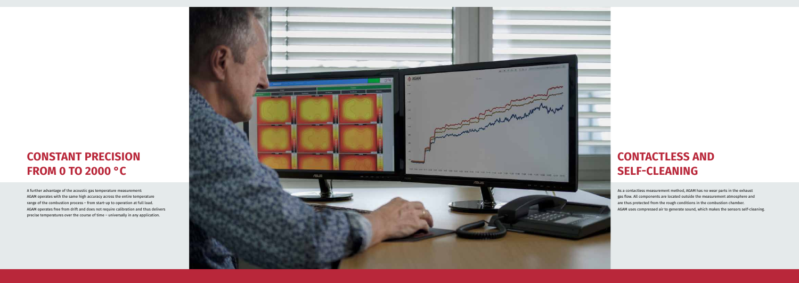#### **CONSTANT PRECISION FROM 0 TO 2000 °C**

A further advantage of the acoustic gas temperature measurement: AGAM operates with the same high accuracy across the entire temperature range of the combustion process – from start-up to operation at full load. AGAM operates free from drift and does not require calibration and thus delivers precise temperatures over the course of time – universally in any application.



## **CONTACTLESS AND SELF-CLEANING**

As a contactless measurement method, AGAM has no wear parts in the exhaust gas flow. All components are located outside the measurement atmosphere and are thus protected from the rough conditions in the combustion chamber. AGAM uses compressed air to generate sound, which makes the sensors self-cleaning.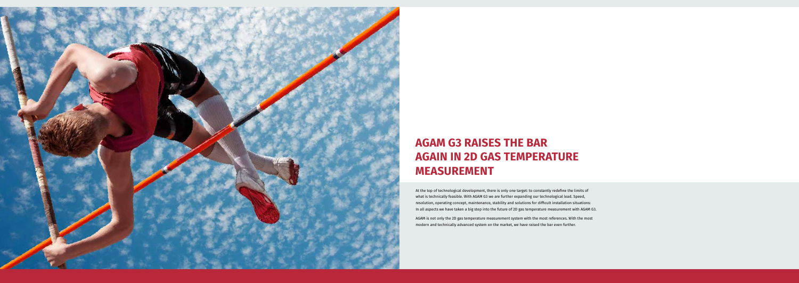

## **AGAM G3 RAISES THE BAR AGAIN IN 2D GAS TEMPERATURE MEASUREMENT**

At the top of technological development, there is only one target: to constantly redefine the limits of what is technically feasible. With AGAM G3 we are further expanding our technological lead. Speed, resolution, operating concept, maintenance, stability and solutions for difficult installation situations: In all aspects we have taken a big step into the future of 2D gas temperature measurement with AGAM G3.

AGAM is not only the 2D gas temperature measurement system with the most references. With the most modern and technically advanced system on the market, we have raised the bar even further.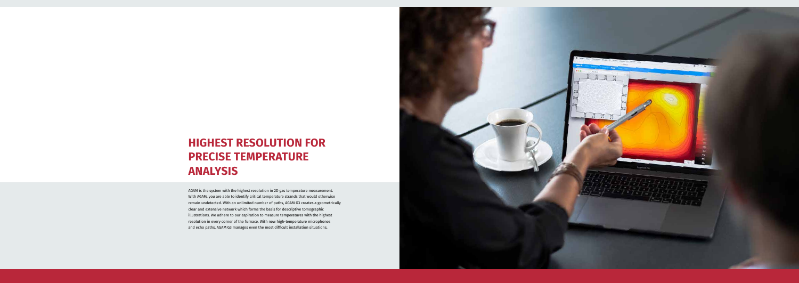#### **HIGHEST RESOLUTION FOR PRECISE TEMPERATURE ANALYSIS**

AGAM is the system with the highest resolution in 2D gas temperature measurement. With AGAM, you are able to identify critical temperature strands that would otherwise remain undetected. With an unlimited number of paths, AGAM G3 creates a geometrically clear and extensive network which forms the basis for descriptive tomographic illustrations. We adhere to our aspiration to measure temperatures with the highest resolution in every corner of the furnace. With new high-temperature microphones and echo paths, AGAM G3 manages even the most difficult installation situations.

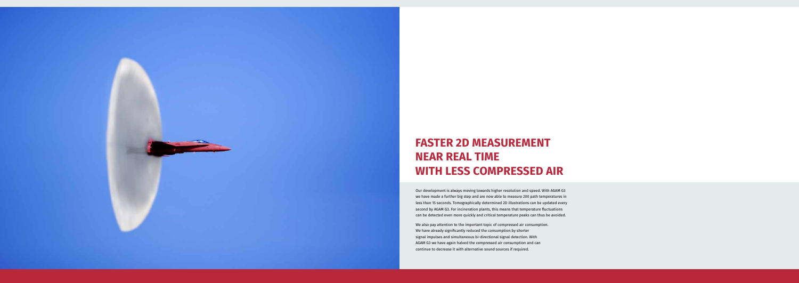

## **FASTER 2D MEASUREMENT NEAR REAL TIME WITH LESS COMPRESSED AIR**

Our development is always moving towards higher resolution and speed. With AGAM G3 we have made a further big step and are now able to measure 200 path temperatures in less than 15 seconds. Tomographically determined 2D illustrations can be updated every second by AGAM G3. For incineration plants, this means that temperature fluctuations can be detected even more quickly and critical temperature peaks can thus be avoided.

We also pay attention to the important topic of compressed air consumption. We have already significantly reduced the consumption by shorter signal impulses and simultaneous bi-directional signal detection. With AGAM G3 we have again halved the compressed air consumption and can continue to decrease it with alternative sound sources if required.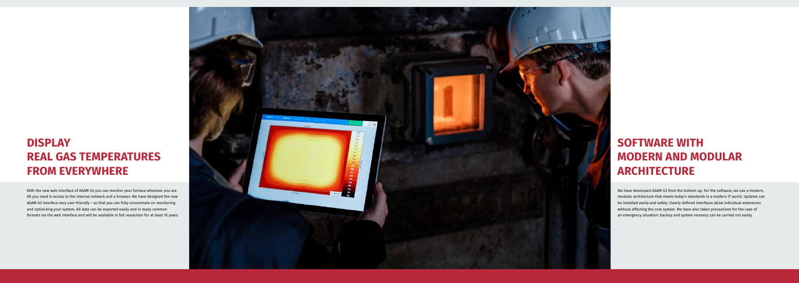## **DISPLAY REAL GAS TEMPERATURES FROM EVERYWHERE**

With the new web interface of AGAM G3 you can monitor your furnace wherever you are. All you need is access to the internal network and a browser. We have designed the new AGAM G3 interface very user-friendly – so that you can fully concentrate on monitoring and optimizing your system. All data can be exported easily and in many common formats via the web interface and will be available in full resolution for at least 10 years.



## **SOFTWARE WITH MODERN AND MODULAR ARCHITECTURE**

We have developed AGAM G3 from the bottom up. For the software, we use a modern, modular architecture that meets today's standards in a modern IT world. Updates can be installed easily and safely. Clearly defined interfaces allow individual extensions without affecting the core system. We have also taken precautions for the case of an emergency situation: backup and system recovery can be carried out easily.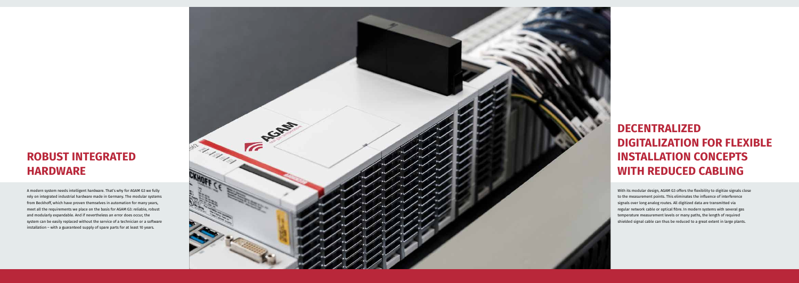#### **ROBUST INTEGRATED HARDWARE**

A modern system needs intelligent hardware. That's why for AGAM G3 we fully rely on integrated industrial hardware made in Germany. The modular systems from Beckhoff, which have proven themselves in automation for many years, meet all the requirements we place on the basis for AGAM G3: reliable, robust and modularly expandable. And if nevertheless an error does occur, the system can be easily replaced without the service of a technician or a software installation – with a guaranteed supply of spare parts for at least 10 years.



## **DECENTRALIZED DIGITALIZATION FOR FLEXIBLE INSTALLATION CONCEPTS WITH REDUCED CABLING**

With its modular design, AGAM G3 offers the flexibility to digitize signals close to the measurement points. This eliminates the influence of interference signals over long analog routes. All digitized data are transmitted via regular network cable or optical fibre. In modern systems with several gas temperature measurement levels or many paths, the length of required shielded signal cable can thus be reduced to a great extent in large plants.